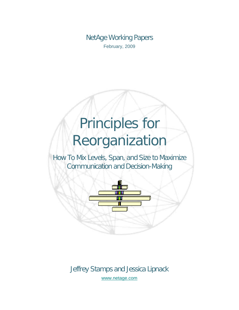NetAge Working Papers February, 2009

# Principles for Reorganization

How To Mix Levels, Span, and Size to Maximize Communication and Decision-Making



Jeffrey Stamps and Jessica Lipnack [www.netage.com](http://www.netage.com/)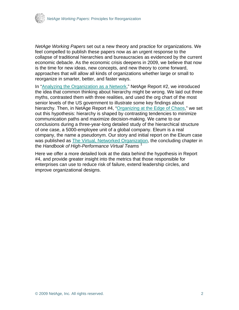

*NetAge Working Papers* set out a new theory and practice for organizations. We feel compelled to publish these papers now as an urgent response to the collapse of traditional hierarchies and bureaucracies as evidenced by the current economic debacle. As the economic crisis deepens in 2009, we believe that now is the time for new ideas, new concepts, and new theory to come forward, approaches that will allow all kinds of organizations whether large or small to reorganize in smarter, better, and faster ways.

In ["Analyzing the Organization as a Network](http://www.netage.com/pub/whpapers/NAReports/NARpt02_USGov-anal.pdf)," NetAge Report #2, we introduced the idea that common thinking about hierarchy might be wrong. We laid out three myths, contrasted them with three realities, and used the org chart of the most senior levels of the US government to illustrate some key findings about hierarchy. Then, in NetAge Report #4, ["Organizing at the Edge of Chaos,](http://www.netage.com/pub/whpapers/NAReports/NARpt04_org-at-edge.pdf)" we set out this hypothesis: hierarchy is shaped by contrasting tendencies to minimize communication paths and maximize decision-making. We came to our conclusions during a three-year-long detailed study of the hierarchical structure of one case, a 5000-employee unit of a global company. Eleum is a real company, the name a pseudonym. Our story and initial report on the Eleum case was published as [The Virtual, Networked Organization,](http://www.netage.com/pub/articles%20-%20new/Virtual%20Networked%20Org_pg-proof.pdf) the concluding chapter in the *Handbook of High-Performance Virtual Teams* [1](#page-23-0)

Here we offer a more detailed look at the data behind the hypothesis in Report #4, and provide greater insight into the metrics that those responsible for enterprises can use to reduce risk of failure, extend leadership circles, and improve organizational designs.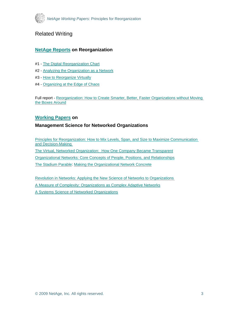

## Related Writing

## **[NetAge Reports](http://www.netage.com/pub/whpapers/index-reports.html) on Reorganization**

- #1 - [The Digital Reorganization Chart](http://www.netage.com/pub/whpapers/NAReports/NARpt01_USGov-org.pdf)
- #2 - [Analyzing the Organization as a Network](http://www.netage.com/pub/whpapers/NAReports/NARpt02_USGov-anal.pdf)
- #3 - [How to Reorganize Virtually](http://www.netage.com/pub/whpapers/NAReports/NARpt03_USGov-reorg.pdf)
- #4 - [Organizing at the Edge of Chaos](http://www.netage.com/pub/whpapers/NAReports/NARpt04_org-at-edge.pdf)

Full report - [Reorganization: How to Create Smarter, Better, Faster Organizations without Moving](http://www.netage.com/pub/whpapers/NAReports/NARpt-vReorg_full.pdf)  [the Boxes Around](http://www.netage.com/pub/whpapers/NAReports/NARpt-vReorg_full.pdf)

#### **[Working Papers](http://www.netage.com/pub/whpapers/index-white.html) on**

#### **Management Science for Networked Organizations**

[Principles for Reorganization: How to Mix Levels, Span, and Size to Maximize Communication](http://www.netage.com/pub/whpapers/whpapers/WP_Principles-reorg.pdf)  [and Decision-Making](http://www.netage.com/pub/whpapers/whpapers/WP_Principles-reorg.pdf)  [The Virtual, Networked Organization: How One Company Became Transparent](http://www.netage.com/pub/articles/articles%20-%20new/Virtual%20Networked%20Org_pg-proof.pdf) [Organizational Networks: Core Concepts of People, Positions, and Relationships](http://www.netage.com/pub/whpapers/whpapers/WP_Core%20Concepts.pdf) [The Stadium Parable: Making the Organizational Network Concrete](http://www.netage.com/pub/articles/articles%20-%20new/Stadium-parable-doc_01Oct07.pdf)

[Revolution in Networks: Applying the New Science of Networks to Organizations](http://www.netage.com/pub/whpapers/whpapers/WP_Network%20Science.pdf)  [A Measure of Complexity: Organizations as Complex Adaptive Networks](http://www.netage.com/pub/whpapers/whpapers/WP_Complexity.pdf) [A Systems Science of Networked Organizations](http://www.netage.com/pub/whpapers/ISSS_2000.pdf)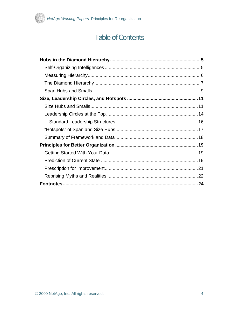

# **Table of Contents**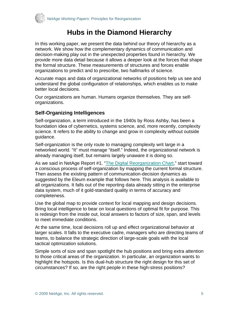<span id="page-4-0"></span>

# **Hubs in the Diamond Hierarchy**

In this working paper, we present the data behind our theory of hierarchy as a network. We show how the complementary dynamics of communication and decision-making play out in the unexpected properties found in hierarchy. We provide more data detail because it allows a deeper look at the forces that shape the formal structure. These measurements of structures and forces enable organizations to predict and to prescribe, two hallmarks of science.

Accurate maps and data of organizational networks of positions help us see and understand the global configuration of relationships, which enables us to make better local decisions.

Our organizations are human. Humans organize themselves. They are selforganizations.

## **Self-Organizing Intelligences**

Self-organization, a term introduced in the 1940s by Ross Ashby, has been a foundation idea of cybernetics, systems science, and, more recently, complexity science. It refers to the ability to change and grow in complexity without outside guidance.

Self-organization is the only route to managing complexity writ large in a networked world. "It" must manage "itself." Indeed, the organizational network is already managing itself, but remains largely unaware it is doing so.

As we said in NetAge Report #1, "[The Digital Reorganization Chart,](http://www.netage.com/pub/whpapers/NAReports/NARpt01-org.html)" start toward a conscious process of self-organization by mapping the current formal structure. Then assess the existing pattern of communication-decision dynamics as suggested by the Eleum example that follows here. This analysis is available to all organizations. It falls out of the reporting data already sitting in the enterprise data system, much of it gold-standard quality in terms of accuracy and completeness.

Use the global map to provide context for local mapping and design decisions. Bring local intelligence to bear on local questions of optimal fit for purpose. This is redesign from the inside out, local answers to factors of size, span, and levels to meet immediate conditions.

At the same time, local decisions roll up and effect organizational behavior at larger scales. It falls to the executive cadre, managers who are directing teams of teams, to balance the strategic direction of large-scale goals with the local tactical optimization solutions.

Simple sorts of size and span spotlight the hub positions and bring extra attention to those critical areas of the organization. In particular, an organization wants to highlight the hotspots. Is this dual-hub structure the right design for this set of circumstances? If so, are the right people in these high-stress positions?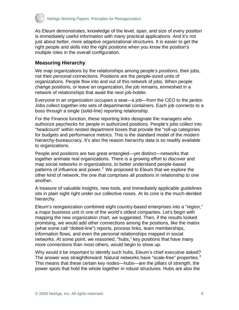<span id="page-5-0"></span>

As Eleum demonstrates, knowledge of the level, span, and size of every position is immediately useful information with many practical applications. And it's not just about better, more adaptive organizational structures. It is easier to get the right people and skills into the right positions when you know the position's multiple roles in the overall configuration.

## **Measuring Hierarchy**

We map organizations by the relationships among people's *positions*, their jobs, not their *personal* connections. Positions are the people-sized units of organizations. People flow into and out of this network of jobs. When people change positions, or leave an organization, the job remains, enmeshed in a network of relationships that await the next job-holder.

Everyone in an organization occupies a seat—a job—from the CEO to the janitor. Jobs collect together into sets of departmental containers. Each job connects to a boss through a single (solid-line) reporting relationship.

For the Finance function, these reporting links designate the managers who authorize paychecks for people in authorized positions. People's jobs collect into "headcount" within nested department boxes that provide the "roll-up categories for budgets and performance metrics. This is the standard model of the modern hierarchy-bureaucracy. It's also the reason hierarchy data is so readily available to organizations.

People and positions are two great entangled—yet distinct—networks that together animate real organizations. There is a growing effort to discover and map social networks in organizations, to better understand people-based patterns of influence and power.<sup>2</sup> We proposed to Eleum that we explore the [other kind of network, the one that comprises all positions in relationship to one](#page-23-2)  [another.](#page-23-2) 

A treasure of valuable insights, new tools, and immediately applicable guidelines sits in plain sight right under our collective noses. At its core is the much-derided hierarchy.

Eleum's reorganization combined eight country-based enterprises into a "region," a major business unit in one of the world's oldest companies. Let's begin with mapping the new organization chart, we suggested. Then, if the results looked promising, we would add other connections among the positions, like the matrix (what some call "dotted-line") reports, process links, team memberships, information flows, and even the personal relationships mapped in social networks. At some point, we reasoned, "hubs," key positions that have many more connections than most others, would begin to show up.

Why would it be important to identify such hubs, Eleum's chief executive asked? The answer was straightforward: Natural networks have "scale-free" properties.<sup>[3](#page-23-2)</sup> [This means that these certain key nodes—hubs—are the pillars of strength, the](#page-23-2)  [power spots that hold the whole together in robust structures. Hubs are also the](#page-23-2)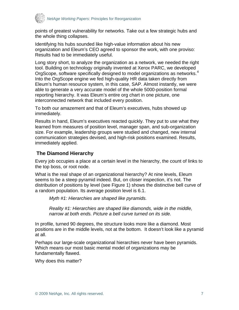<span id="page-6-0"></span>

[points of greatest vulnerability for networks. Take out a few strategic hubs and](#page-23-2)  [the whole thing collapses.](#page-23-2) 

Identifying his hubs sounded like high-value information about his new organization and Eleum's CEO agreed to sponsor the work, with one proviso: Results had to be immediately useful.

Long story short, to analyze the organization as a network, we needed the right tool. Building on technology originally invented at Xerox PARC, we developed OrgScope, software specifically designed to model organizations as networks.<sup>[4](#page-23-2)</sup> [Into the OrgScope engine we fed high-quality HR data taken directly from](#page-23-2)  [Eleum's human resource system, in this case, SAP. Almost instantly, we were](#page-23-2)  [able to generate a very accurate model of the whole 5000-position formal](#page-23-2)  [reporting hierarchy. It was Eleum's entire org chart in one picture, one](#page-23-2)  [interconnected network that included every position.](#page-23-2) 

To both our amazement and that of Eleum's executives, hubs showed up immediately.

Results in hand, Eleum's executives reacted quickly. They put to use what they learned from measures of position level, manager span, and sub-organization size. For example, leadership groups were studied and changed, new internal communication strategies devised, and high-risk positions examined. Results, immediately applied.

## **The Diamond Hierarchy**

Every job occupies a place at a certain level in the hierarchy, the count of links to the top boss, or root node.

What is the real shape of an organizational hierarchy? At nine levels, Eleum seems to be a steep pyramid indeed. But, on closer inspection, it's not. The distribution of positions by level (see Figure 1) shows the distinctive bell curve of a random population. Its average position level is 6.1.

*Myth #1: Hierarchies are shaped like pyramids.* 

*Reality #1: Hierarchies are shaped like diamonds, wide in the middle, narrow at both ends. Picture a bell curve turned on its side.* 

In profile, turned 90 degrees, the structure looks more like a diamond. Most positions are in the middle levels, not at the bottom. It doesn't look like a pyramid at all.

Perhaps our large-scale organizational hierarchies never have been pyramids. Which means our most basic mental model of organizations may be fundamentally flawed.

Why does this matter?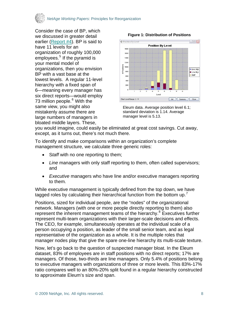

Consider the case of BP, which we discussed in greater detail earlier ([Report #4](http://www.netage.com/pub/whpapers/NAReports/NARpt04_org-at-edge.pdf)). BP is said to have 11 levels for an organization of roughly 100,000 employees.<sup>[5](#page-23-2)</sup> If the pyramid is your mental model of organizations, then you envision BP with a vast base at the lowest levels. A regular 11-level hierarchy with a fixed span of 6—meaning every manager has six direct reports—would employ 73 million people.<sup>[6](#page-23-2)</sup> With the same view, you might also mistakenly assume there are large numbers of managers in bloated middle layers. These,



**Figure 1: Distribution of Positions**

Eleum data. Average position level 6.1; standard deviation is 1.14. Average manager level is 5.13.

you would imagine, could easily be eliminated at great cost savings. Cut away, except, as it turns out, there's not much there.

To identify and make comparisons within an organization's complete management structure, we calculate three generic roles:

- S*taff* with no one reporting to them;
- *Line* managers with only staff reporting to them, often called supervisors; and
- *Executive* managers who have line and/or executive managers reporting to them.

While executive management is typically defined from the top down, we have tagged roles by calculating their hierarchical function from the bottom up.<sup>[7](#page-23-2)</sup>

Positions, sized for individual people, are the "nodes" of the organizational network. Managers (with one or more people directly reporting to them) also represent the inherent management teams of the hierarchy.<sup>[8](#page-23-2)</sup> Executives further represent multi-team organizations with their larger-scale decisions and effects. The CEO, for example, simultaneously operates at the individual scale of a person occupying a position, as leader of the small senior team, and as legal representative of the organization as a whole. It is the multiple roles that manager nodes play that give the spare one-line hierarchy its multi-scale texture.

Now, let's go back to the question of suspected manager bloat. In the Eleum dataset, 83% of employees are in staff positions with no direct reports; 17% are managers. Of those, two-thirds are line managers. Only 5.4% of positions belong to executive managers with organizations of three or more levels. This 83%-17% ratio compares well to an 80%-20% split found in a regular hierarchy constructed to approximate Eleum's size and span.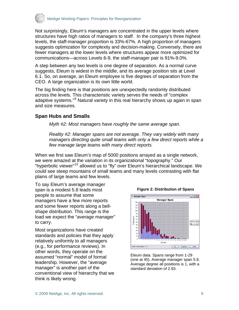<span id="page-8-0"></span>

Not surprisingly, Eleum's managers are concentrated in the upper levels where structures have high ratios of managers to staff. In the company's three highest levels, the staff-manager proportion is 33%-67%. A high proportion of managers suggests optimization for complexity and decision-making. Conversely, there are fewer managers at the lower levels where structures appear more optimized for communications—across Levels 6-9, the staff-manager pair is 91%-9.0%.

A step between any two levels is one degree of separation. As a normal curve suggests, Eleum is widest in the middle, and its average position sits at Level 6.1. So, on average, an Eleum employee is five degrees of separation from the CEO. A large organization is its own little world.

The big finding here is that positions are unexpectedly randomly distributed across the levels. This characteristic variety serves the needs of "complex adaptive systems."<sup>[9](#page-23-2)</sup> Natural variety in this real hierarchy shows up again in span and size measures.

## **Span Hubs and Smalls**

*Myth #2: Most managers have roughly the same average span.* 

*Reality #2: Manager spans are not average. They vary widely with many managers directing quite small teams with only a few direct reports while a few manage large teams with many direct reports.* 

When we first saw Eleum's map of 5000 positions arrayed as a single network, we were amazed at the variation in its organizational "topography." Our "hyperbolic viewer"<sup>[10](#page-23-2)</sup> allowed us to "fly" over Eleum's hierarchical landscape. We could see steep mountains of small teams and many levels contrasting with flat plains of large teams and few levels.

To say Eleum's average manager span is a modest 5.8 leads most people to assume that some managers have a few more reports and some fewer reports along a bellshape distribution. This range is the load we expect the "average manager" to carry.

Most organizations have created standards and policies that they apply relatively uniformly to all managers (e.g., for performance reviews). In other words, they operate on the assumed "normal" model of formal leadership. However, the "average manager" is another part of the conventional view of hierarchy that we think is likely wrong.



#### Eleum data. Spans range from 1-29 (one at 45). Average manager span 5.8. Average degree all positions is 1, with a standard deviation of 2.93.

#### **Figure 2: Distribution of Spans**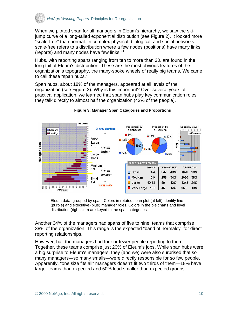

When we plotted span for all managers in Eleum's hierarchy, we saw the skijump curve of a long-tailed exponential distribution (see Figure 2). It looked more "scale-free" than normal. In complex physical, biological, and social networks, scale-free refers to a distribution where a few nodes (positions) have many links (reports) and many nodes have few links.<sup>[11](#page-23-2)</sup>

Hubs, with reporting spans ranging from ten to more than 30, are found in the long tail of Eleum's distribution. These are the most obvious features of the organization's topography, the many-spoke wheels of really big teams. We came to call these "span hubs."

Span hubs, about 18% of the managers, appeared at all levels of the organization (see Figure 3). Why is this important? Over several years of practical application, we learned that span hubs play key communication roles: they talk directly to almost half the organization (42% of the people).



#### **Figure 3: Manager Span Categories and Proportions**

Eleum data, grouped by span. Colors in rotated span plot (at left) identify line (purple) and executive (blue) manager roles. Colors in the pie charts and level distribution (right side) are keyed to the span categories.

Another 34% of the managers had spans of five to nine, teams that comprise 38% of the organization. This range is the expected "band of normalcy" for direct reporting relationships.

However, half the managers had four or fewer people reporting to them. Together, these teams comprise just 20% of Eleum's jobs. While span hubs were a big surprise to Eleum's managers, they (and we) were also surprised that so many managers—so many smalls—were directly responsible for so few people. Apparently, "one size fits all" managers doesn't fit two thirds of them—18% have larger teams than expected and 50% lead smaller than expected groups.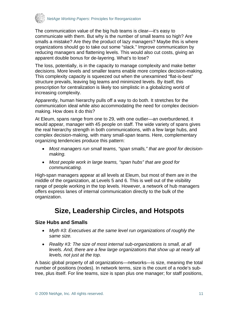<span id="page-10-0"></span>

The communication value of the big hub teams is clear—it's easy to communicate with them. But why is the number of small teams so high? Are smalls a mistake? Are they the product of lazy managers? Maybe this is where organizations should go to take out some "slack." Improve communication by reducing managers and flattening levels. This would also cut costs, giving an apparent double bonus for de-layering. What's to lose?

The loss, potentially, is in the capacity to manage complexity and make better decisions. More levels and smaller teams enable more complex decision-making. This complexity capacity is squeezed out when the unexamined "flat-is-best" structure prevails, leaving big teams and minimized levels. By itself, this prescription for centralization is likely too simplistic in a globalizing world of increasing complexity.

Apparently, human hierarchy pulls off a way to do both. It stretches for the communication ideal while also accommodating the need for complex decisionmaking. How does it do this?

At Eleum, spans range from one to 29, with one outlier—an overburdened, it would appear, manager with 45 people on staff. The wide variety of spans gives the real hierarchy strength in both communications, with a few large hubs, and complex decision-making, with many small-span teams. Here, complementary organizing tendencies produce this pattern:

- *Most managers run small teams, "span smalls," that are good for decisionmaking.*
- *Most people work in large teams, "span hubs" that are good for communicating.*

High-span managers appear at all levels at Eleum, but most of them are in the middle of the organization, at Levels 5 and 6. This is well out of the visibility range of people working in the top levels. However, a network of hub managers offers express lanes of internal communication directly to the bulk of the organization.

# **Size, Leadership Circles, and Hotspots**

## **Size Hubs and Smalls**

- *Myth #3: Executives at the same level run organizations of roughly the same size.*
- *Reality #3: The size of most internal sub-organizations is small, at all levels. And, there are a few large organizations that show up at nearly all levels, not just at the top.*

A basic global property of all organizations—networks—is size, meaning the total number of positions (nodes). In network terms, size is the count of a node's subtree, plus itself. For line teams, size is span plus one manager; for staff positions,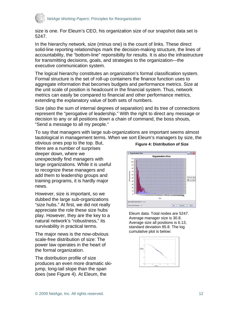

size is one. For Eleum's CEO, his organization size of our snapshot data set is 5247.

In the hierarchy network, size (minus one) is the count of links. These direct solid-line reporting relationships mark the decision-making structure, the lines of accountability, the "bottom-line" reponsibilty for results. It is also the infrastructure for transmitting decisions, goals, and strategies to the organization—the executive communication system.

The logical hierarchy constitutes an organization's formal classification system. Formal structure is the set of roll-up containers the finance function uses to aggregate information that becomes budgets and performance metrics. Size at the unit scale of position is headcount in the financial system. Thus, network metrics can easily be compared to financial and other performance metrics, extending the explanatory value of both sets of numbers.

Size (also the sum of internal degrees of separation) and its tree of connections represent the "perogative of leadership." With the right to direct any message or decision to any or all positions down a chain of command, the boss shouts, "Send a message to all my people."

To say that managers with large sub-organizations are important seems almost tautological in management terms. When we sort Eleum's managers by size, the

obvious ones pop to the top. But, there are a number of surprises deeper down, where we unexpectedly find managers with large organizations. While it is useful to recognize these managers and add them to leadership groups and training programs, it is hardly major news.

However, size is important, so we dubbed the large sub-organizations "size hubs." At first, we did not really appreciate the role these size hubs play. However, they are the key to a natural network's "robustness," its survivability in practical terms.

cumulative plot is below: The major news is the now-obvious scale-free distribution of size: The power law operates in the heart of the formal organization.

The distribution profile of size produces an even more dramatic skijump, long-tail slope than the span does (see Figure 4). At Eleum, the



Eleum data. Total nodes are 5247. Average manager size is 30.8. Average size all positions is 6.13, standard deviation 85.8. The log



#### **Figure 4: Distribution of Size**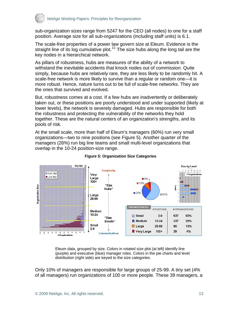

sub-organization sizes range from 5247 for the CEO (all nodes) to one for a staff position. Average size for all sub-organizations (including staff units) is 6.1.

The scale-free properties of a power law govern size at Eleum. Evidence is the straight line of its log cumulative plot.<sup>[12](#page-23-2)</sup> The size hubs along the long tail are the key nodes in a hierarchical network.

As pillars of robustness, hubs are measures of the ability of a network to withstand the inevitable accidents that knock nodes out of commission. Quite simply, because hubs are relatively rare, they are less likely to be randomly hit. A scale-free network is more likely to survive than a regular or random one—it is more robust. Hence, nature turns out to be full of scale-free networks. They are the ones that survived and evolved.

But, robustness comes at a cost. If a few hubs are inadvertently or deliberately taken out, or these positions are poorly understood and under supported (likely at lower levels), the network is severely damaged. Hubs are responsible for both the robustness and protecting the vulnerability of the networks they hold together. These are the natural centers of an organization's strengths, and its pools of risk.

At the small scale, more than half of Eleum's managers (60%) run very small organizations—two to nine positions (see Figure 5). Another quarter of the managers (26%) run big line teams and small multi-level organizations that overlap in the 10-24 position-size range.



#### **Figure 5: Organization Size Categories**

Eleum data, grouped by size. Colors in rotated size plot (at left) identify line (purple) and executive (blue) manager roles. Colors in the pie charts and level distribution (right side) are keyed to the size categories.

Only 10% of managers are responsible for large groups of 25-99. A tiny set (4% of all managers) run organizations of 100 or more people. These 39 managers, a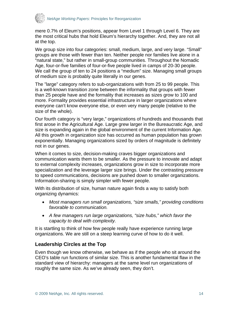<span id="page-13-0"></span>

mere 0.7% of Eleum's positions, appear from Level 1 through Level 6. They are the most critical hubs that hold Eleum's hierarchy together. And, they are not all at the top.

We group size into four categories: small, medium, large, and very large. "Small" groups are those with fewer than ten. Neither people nor families live alone in a "natural state," but rather in small-group communities. Throughout the Nomadic Age, four-or-five families of four-or-five people lived in camps of 20-30 people. We call the group of ten to 24 positions a "medium" size. Managing small groups of medium size is probably quite literally in our genes.

The "large" category refers to sub-organizations with from 25 to 99 people. This is a well-known transition zone between the informality that groups with fewer than 25 people have and the formality that increases as sizes grow to 100 and more. Formality provides essential infrastructure in larger organizations where everyone can't know everyone else, or even very many people (relative to the size of the whole).

Our fourth category is "very large," organizations of hundreds and thousands that first arose in the Agricultural Age. Large grew larger in the Bureaucratic Age, and size is expanding again in the global environment of the current Information Age. All this growth in organization size has occurred as human population has grown exponentially. Managing organizations sized by orders of magnitude is definitely not in our genes.

When it comes to size, decision-making craves bigger organizations and communication wants them to be smaller. As the pressure to innovate and adapt to external complexity increases, organizations grow in size to incorporate more specialization and the leverage larger size brings. Under the contrasting pressure to speed communications, decisions are pushed down to smaller organizations. Information-sharing is simply simpler with fewer people.

With its distribution of size, human nature again finds a way to satisfy both organizing dynamics:

- *Most managers run small organizations, "size smalls," providing conditions favorable to communication.*
- *A few managers run large organizations, "size hubs," which favor the capacity to deal with complexity.*

It is startling to think of how few people really have experience running large organizations. We are still on a steep learning curve of how to do it well.

## **Leadership Circles at the Top**

Even though we know otherwise, we behave as if the people who sit around the CEO's table run functions of similar size. This is another fundamental flaw in the standard view of hierarchy: managers at the same level run organizations of roughly the same size. As we've already seen, they don't.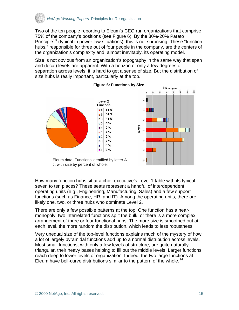

Two of the ten people reporting to Eleum's CEO run organizations that comprise 75% of the company's positions (see Figure 6). By the 80%-20% Pareto Principle<sup>[13](#page-23-2)</sup> (typical in power-law situations), this is not surprising. These "function hubs," responsible for three out of four people in the company, are the centers of the organization's complexity and, almost inevitably, its operating model.

Size is not obvious from an organization's topography in the same way that span and (local) levels are apparent. With a horizon of only a few degrees of separation across levels, it is hard to get a sense of size. But the distribution of size hubs is really important, particularly at the top.



#### **Figure 6: Functions by Size**

Eleum data. Functions identified by letter A-J, with size by percent of whole.

How many function hubs sit at a chief executive's Level 1 table with its typical seven to ten places? These seats represent a handful of interdependent operating units (e.g., Engineering, Manufacturing, Sales) and a few support functions (such as Finance, HR, and IT). Among the operating units, there are likely one, two, or three hubs who dominate Level 2.

There are only a few possible patterns at the top: One function has a nearmonopoly, two interrelated functions split the bulk, or there is a more complex arrangement of three or four functional hubs. The more size is smoothed out at each level, the more random the distribution, which leads to less robustness.

Very unequal size of the top-level functions explains much of the mystery of how a lot of largely pyramidal functions add up to a normal distribution across levels. Most small functions, with only a few levels of structure, are quite naturally triangular, their heavy bases helping to fill out the middle levels. Larger functions reach deep to lower levels of organization. Indeed, the two large functions at Eleum have bell-curve distributions similar to the pattern of the whole.<sup>14</sup>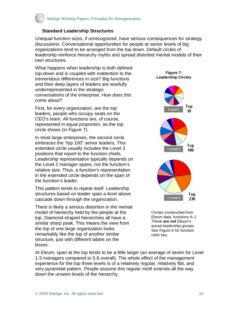<span id="page-15-0"></span>

#### **Standard Leadership Structures**

Unequal function sizes, if unrecognized, have serious consequences for strategy discussions. Conversational opportunities for people at senior levels of big organizations tend to be arranged from the top down. Default circles of leadership reinforce hierarchy myths and spread distorted mental models of their own structures.

What happens when leadership is both defined top-down and is coupled with inattention to the tremendous differences in size? Big functions and their deep layers of leaders are woefully underrepresented in the strategic conversations of the enterprise. How does this come about?

First, for every organization, are the top leaders, people who occupy seats on the CEO's team. All functions are, of course, represented in equal proportion, as the top circle shows (in Figure 7).

In most large enterprises, the second circle embraces the "top 100" senior leaders. This extended circle usually includes the Level 3 positions that report to the function chiefs. Leadership representation typically depends on the Level 2 manager spans, not the function's relative size. Thus, a function's representation in the extended circle depends on the span of the function's leader.

This pattern tends to repeat itself. Leadership structures based on leader span a level above cascade down through the organization.

There is likely a serious distortion in the mental model of hierarchy held by the people at the top. Diamond-shaped hierarchies all have a similar sharp peak. This means the view from the top of one large organization looks remarkably like the top of another similar structure, just with different labels on the boxes.



Circles constructed from Eleum data, functions A-J. These **are not** Eleum's actual leadership groups. See Figure 6 for function color key.

At Eleum, span at the top tends to be a little larger (an average of seven for Level 1-3 managers compared to 5.8 overall). The whole effect of the management experience for the top three levels is of a relatively regular, relatively flat, and very pyramidal pattern. People assume this regular motif extends all the way down the unseen levels of the hierarchy.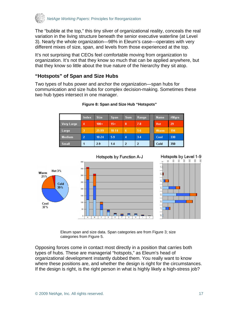<span id="page-16-0"></span>

The "bubble at the top," this tiny sliver of organizational reality, conceals the real variation in the living structure beneath the senior executive waterline (at Level 3). Nearly the whole organization—98% in Eleum's case—operates with very different mixes of size, span, and levels from those experienced at the top.

It's not surprising that CEOs feel comfortable moving from organization to organization. It's not that they know so much that can be applied anywhere, but that they know so little about the true nature of the hierarchy they sit atop.

## **"Hotspots" of Span and Size Hubs**

Two types of hubs power and anchor the organization—span hubs for communication and size hubs for complex decision-making. Sometimes these two hub types intersect in one manager.

|            | Index | <b>Size</b> | Span  | <b>Sum</b>     | Range | <b>Name</b> | #Mgrs |
|------------|-------|-------------|-------|----------------|-------|-------------|-------|
| Very Large | 4     | $100+$      | $15+$ | 8              | 7.8   | <b>Hot</b>  | 29    |
| Large      | 3     | 25.99       | 10-14 | 6              | 5.6   | Warm        | 194   |
| Medium     | 2     | $10 - 24$   | 5.9   | $\overline{4}$ | $3-4$ | Cool        | 330   |
| Small      |       | 2.9         | 14    | 2              | 2     | Cold        | 350   |

#### **Figure 8: Span and Size Hub "Hotspots"**



Eleum span and size data. Span categories are from Figure 3; size categories from Figure 5.

Opposing forces come in contact most directly in a position that carries both types of hubs. These are managerial "hotspots," as Eleum's head of organizational development instantly dubbed them. You really want to know where these positions are, and whether the design is right for the circumstances. If the design is right, is the right person in what is highly likely a high-stress job?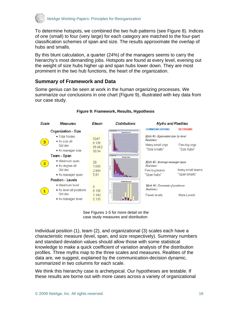<span id="page-17-0"></span>

To determine hotspots, we combined the two hub patterns (see Figure 8). Indices of one (small) to four (very large) for each category are matched to the four-part classification schemes of span and size. The results approximate the overlap of hubs and smalls.

By this blunt calculation, a quarter (24%) of the managers seems to carry the hierarchy's most demanding jobs. Hotspots are found at every level, evening out the weight of size hubs higher up and span hubs lower down. They are most prominent in the two hub functions, the heart of the organization.

## **Summary of Framework and Data**

Some genius can be seen at work in the human organizing processes. We summarize our conclusions in one chart (Figure 9), illustrated with key data from our case study.



#### **Figure 9: Framework, Results, Hypothesis**

See Figures 1-5 for more detail on the case study measures and distribution

Individual position (1), team (2), and organizational (3) scales each have a characteristic measure (level, span, and size respectively). Summary numbers and standard deviation values should allow those with some statistical knowledge to make a quick coefficient of variation analysis of the distribution profiles. Three myths map to the three scales and measures. Realities of the data are, we suggest, explained by the communication-decision dynamic, summarized in two columns for each scale.

We think this hierarchy case is archetypical. Our hypotheses are testable. If these results are borne out with more cases across a variety of organizational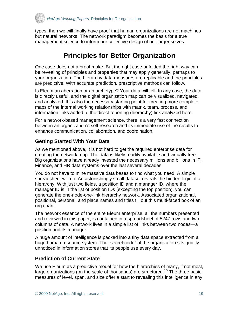<span id="page-18-0"></span>

types, then we will finally have proof that human organizations are not machines but natural networks. The network paradigm becomes the basis for a true management science to inform our collective design of our larger selves.

# **Principles for Better Organization**

One case does not a proof make. But the right case unfolded the right way can be revealing of principles and properties that may apply generally, perhaps to your organization. The hierarchy data measures are replicable and the principles are predictive. With accurate prediction, prescriptive methods can follow.

Is Eleum an aberration or an archetype? Your data will tell. In any case, the data is directly useful, and the digital organization map can be visualized, navigated, and analyzed. It is also the necessary starting point for creating more complete maps of the internal working relationships with matrix, team, process, and information links added to the direct reporting (hierarchy) link analyzed here.

For a network-based management science, there is a very fast connection between an organization's self-research and its immediate use of the results to enhance communication, collaboration, and coordination.

## **Getting Started With Your Data**

As we mentioned above, it is not hard to get the required enterprise data for creating the network map. The data is likely readily available and virtually free. Big organizations have already invested the necessary millions and billions in IT, Finance, and HR data systems over the last several decades.

You do not have to mine massive data bases to find what you need. A simple spreadsheet will do. An astonishingly small dataset reveals the hidden logic of a hierarchy. With just two fields, a position ID and a manager ID, where the manager ID is in the list of position IDs (excepting the top position), you can generate the one-node-one-link hierarchy network. Associated organizational, positional, personal, and place names and titles fill out this multi-faced box of an org chart.

The network essence of the entire Eleum enterprise, all the numbers presented and reviewed in this paper, is contained in a spreadsheet of 5247 rows and two columns of data. A network lives in a simple list of links between two nodes—a position and its manager.

A huge amount of intelligence is packed into a tiny data space extracted from a huge human resource system. The "secret code" of the organization sits quietly unnoticed in information stores that its people use every day.

## **Prediction of Current State**

We use Eleum as a predictive model for how the hierarchies of many, if not most, large organizations (on the scale of thousands) are structured.<sup>[15](#page-24-0)</sup> The three basic measures of level, span, and size offer a start to revealing this intelligence in any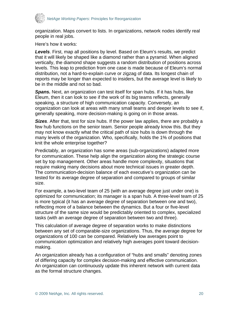

organization. Maps convert to lists. In organizations, network nodes identify real people in real jobs.

Here's how it works:

*Levels*. First, map all positions by level. Based on Eleum's results, we predict that it will likely be shaped like a diamond rather than a pyramid. When aligned vertically, the diamond shape suggests a random distribution of positions across levels. This leap to prediction from one case is made because of Eleum's normal distribution, not a hard-to-explain curve or zigzag of data. Its longest chain of reports may be longer than expected to insiders, but the average level is likely to be in the middle and not so bad.

*Spans.* Next, an organization can test itself for span hubs. If it has hubs, like Eleum, then it can look to see if the work of its big teams reflects, generally speaking, a structure of high communication capacity. Conversely, an organization can look at areas with many small teams and deeper levels to see if, generally speaking, more decision-making is going on in those areas.

*Sizes*. After that, test for size hubs. If the power law applies, there are probably a few hub functions on the senior team. Senior people already know this. But they may not know exactly what the critical path of size hubs is down through the many levels of the organization. Who, specifically, holds the 1% of positions that knit the whole enterprise together?

Predictably, an organization has some areas (sub-organizations) adapted more for communication. These help align the organization along the strategic course set by top management. Other areas handle more complexity, situations that require making many decisions about more technical issues in greater depth. The communication-decision balance of each executive's organization can be tested for its average degree of separation and compared to groups of similar size.

For example, a two-level team of 25 (with an average degree just under one) is optimized for communication; its manager is a span hub. A three-level team of 25 is more typical (it has an average degree of separation between one and two), reflecting more of a balance between the dynamics. But a four or five-level structure of the same size would be predictably oriented to complex, specialized tasks (with an average degree of separation between two and three).

This calculation of average degree of separation works to make distinctions between any set of comparable-size organizations. Thus, the average degree for organizations of 100 can be compared. Relatively low averages point to communication optimization and relatively high averages point toward decisionmaking.

An organization already has a configuration of "hubs and smalls" denoting zones of differing capacity for complex decision-making and effective communication. An organization can continuously update this inherent network with current data as the formal structure changes.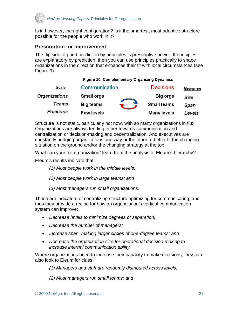<span id="page-20-0"></span>

Is it, however, the right configuration? Is it the smartest, most adaptive structure possible for the people who work in it?

## **Prescription for Improvement**

The flip side of good prediction by principles is prescriptive power. If principles are explanatory by prediction, then you can use principles practically to shape organizations in the direction that enhances their fit with local circumstances (see Figure 9).

**Figure 10: Complementary Organizing Dynamics**

| <u>Scale</u>  | Communication     | <b>Decisions</b> | <b>Measures</b> |
|---------------|-------------------|------------------|-----------------|
| Organizations | Small orgs        | Big orgs         | Size            |
| Teams         | Big teams         | Small teams      | Span            |
| Positions     | <b>Few levels</b> | Many levels      | Levels          |

Structure is not static, particularly not now, with so many organizations in flux. Organizations are always tending either towards communication and centralization or decision-making and decentralization. And executives are constantly nudging organizations one way or the other to better fit the changing situation on the ground and/or the changing strategy at the top.

What can your "re-organization" learn from the analysis of Eleum's hierarchy?

Eleum's results indicate that:

- *(1) Most people work in the middle levels;*
- *(2) Most people work in large teams; and*
- *(3) Most managers run small organizations.*

These are indicators of centralizing structure optimizing for communicating, and thus they provide a recipe for how an organization's vertical communication system can improve:

- *Decrease levels to minimize degrees of separation;*
- *Decrease the number of managers;*
- *Increase span, making larger circles of one-degree teams; and*
- *Decrease the organization size for operational decision-making to increase internal communication ability.*

Where organizations need to increase their capacity to make decisions, they can also look to Eleum for clues:

*(1) Managers and staff are randomly distributed across levels;* 

*(2) Most managers run small teams; and*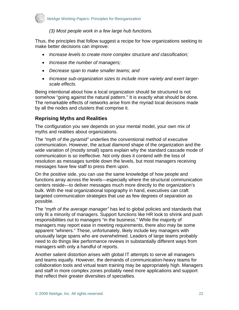<span id="page-21-0"></span>

#### *(3) Most people work in a few large hub functions.*

Thus, the principles that follow suggest a recipe for how organizations seeking to make better decisions can improve:

- *Increase levels to create more complex structure and classification;*
- *Increase the number of managers;*
- *Decrease span to make smaller teams; and*
- *Increase sub-organization sizes to include more variety and exert largerscale effects.*

Being intentional about how a local organization should be structured is not somehow "going against the natural pattern." It is exactly what should be done. The remarkable effects of networks arise from the myriad local decisions made by all the nodes and clusters that comprise it.

## **Reprising Myths and Realities**

The configuration you see depends on your mental model, your own mix of myths and realities about organizations.

The *"myth of the pyramid"* underlies the conventional method of executive communication. However, the actual diamond shape of the organization and the wide variation of (mostly small) spans explain why the standard cascade mode of communication is so ineffective. Not only does it contend with the loss of resolution as messages tumble down the levels, but most managers receiving messages have few staff to press them upon.

On the positive side, you can use the same knowledge of how people and functions array across the levels—especially where the structural communication centers reside—to deliver messages much more directly to the organization's bulk. With the real organizational topography in hand, executives can craft targeted communication strategies that use as few degrees of separation as possible.

The *"myth of the average manager"* has led to global policies and standards that only fit a minority of managers. Support functions like HR look to shrink and push responsibilities out to managers "in the business." While the majority of managers may report ease in meeting requirements, there also may be some apparent "whiners." These, unfortunately, likely include key managers with unusually large spans who are overwhelmed. Leaders of large teams probably need to do things like performance reviews in substantially different ways from managers with only a handful of reports.

Another salient distortion arises with global IT attempts to serve all managers and teams equally. However, the demands of communication-heavy teams for collaboration tools and virtual team training may be appropriately high. Managers and staff in more complex zones probably need more applications and support that reflect their greater diversities of specialties.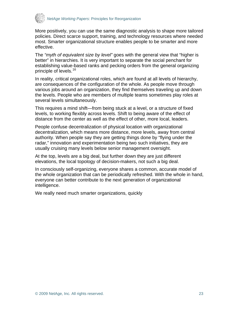

More positively, you can use the same diagnostic analysis to shape more tailored policies. Direct scarce support, training, and technology resources where needed most. Smarter organizational structure enables people to be smarter and more effective.

The *"myth of equivalent size by level"* goes with the general view that "higher is better" in hierarchies. It is very important to separate the social penchant for establishing value-based ranks and pecking orders from the general organizing principle of levels.<sup>16</sup>

In reality, critical organizational roles, which are found at all levels of hierarchy, are consequences of the configuration of the whole. As people move through various jobs around an organization, they find themselves traveling up and down the levels. People who are members of multiple teams sometimes play roles at several levels simultaneously.

This requires a mind shift—from being stuck at a level, or a structure of fixed levels, to working flexibly across levels. Shift to being aware of the effect of distance from the center as well as the effect of other, more local, leaders.

People confuse decentralization of physical location with organizational decentralization, which means more distance, more levels, away from central authority. When people say they are getting things done by "flying under the radar," innovation and experimentation being two such initiatives, they are usually cruising many levels below senior management oversight.

At the top, levels are a big deal, but further down they are just different elevations, the local topology of decision-makers, not such a big deal.

In consciously self-organizing, everyone shares a common, accurate model of the whole organization that can be periodically refreshed. With the whole in hand, everyone can better contribute to the next generation of organizational intelligence.

We really need much smarter organizations, quickly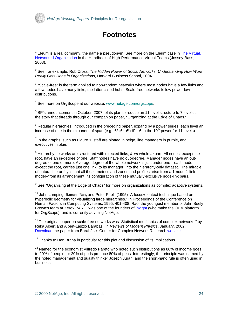<span id="page-23-2"></span><span id="page-23-1"></span>

 $\overline{a}$ 

## **Footnotes**

2 See, for example, Rob Cross, *The Hidden Power of Social Networks: Understanding How Work Really Gets Done in Organizations*, Harvard Business School, 2004.

 $3$  "Scale-free" is the term applied to non-random networks where most nodes have a few links and a few nodes have many links, the latter called hubs. Scale-free networks follow power-law distributions.

<sup>4</sup> See more on OrgScope at our website: www.netage.com/orgscope.

 $<sup>5</sup>$  BP's announcement in October, 2007, of its plan to reduce an 11 level structure to 7 levels is</sup> the story that threads through our companion paper, "Organizing at the Edge of Chaos."

 $^6$  Regular hierarchies, introduced in the preceding paper, expand by a power series, each level an increase of one in the exponent of span (e.g.,  $6^0+6^1+6^2+6^3...6$  to the 10<sup>th</sup> power for 11 levels).

 $<sup>7</sup>$  In the graphs, such as Figure 1, staff are plotted in beige, line managers in purple, and</sup> executives in blue.

8 Hierarchy networks are structured with directed links, *from* whole *to* part. All nodes, except the root, have an in-degree of one. Staff nodes have no out-degree. Manager nodes have an outdegree of one or more. Average degree of the whole network is just under one—each node, except the root, carries just one link, to its manager, into the hierarchy-only dataset. The miracle of natural hierarchy is that all these metrics and zones and profiles arise from a 1-node-1-link model--from its arrangement, its configuration of these mutually-exclusive node-link pairs.

 $^9$  See "Organizing at the Edge of Chaos" for more on organizations as complex adaptive systems.

10 John Lamping, Ramana Rao**,** and Peter Pirolli (1995) "A focus+context technique based on hyperbolic geometry for visualizing large hierarchies." In Proceedings of the Conference on Human Factors in Computing Systems, 1995, 401-408. Rao, the youngest member of John Seely Brown's team at Xerox PARC, was one of the founders of [Inxight \(](http://www.inxight.com/)who make the OEM platform for OrgScope), and is currently advising NetAge.

 $11$  The original paper on scale-free networks was "Statistical mechanics of complex networks," by Réka Albert and Albert-László Barabási, in *Reviews of Modern Physics*, January, 2002. [Download](http://www.nd.edu/%7Enetworks/Publication%20Categories/01%20Review%20Articles/StatisticalMechanics_Rev%20of%20Modern%20Physics%2074,%2047%20(2002).pdf) the paper from Barabási's Center for Complex Network Research [website.](http://www.nd.edu/%7Enetworks/index.htm)

 $12$  Thanks to Dan Braha in particular for this plot and discussion of its implications.

 $13$  Named for the economist Vilfredo Pareto who noted such distributions as 80% of income goes to 20% of people, or 20% of pods produce 80% of peas. Interestingly, the principle was named by the noted management and quality thinker Joseph Juran, and the short-hand rule is often used in business.

<span id="page-23-0"></span><sup>&</sup>lt;sup>1</sup> Eleum is a real company, the name a pseudonym. See more on the Eleum case in **The Virtual**, [Networked Organization](http://www.netage.com/pub/articles%20-%20new/Virtual%20Networked%20Org_pg-proof.pdf) in the Handbook of High-Performance Virtual Teams (Jossey-Bass, 2008).